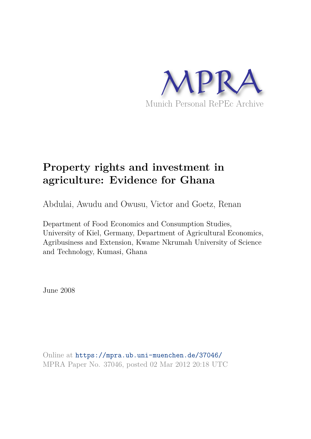

# **Property rights and investment in agriculture: Evidence for Ghana**

Abdulai, Awudu and Owusu, Victor and Goetz, Renan

Department of Food Economics and Consumption Studies, University of Kiel, Germany, Department of Agricultural Economics, Agribusiness and Extension, Kwame Nkrumah University of Science and Technology, Kumasi, Ghana

June 2008

Online at https://mpra.ub.uni-muenchen.de/37046/ MPRA Paper No. 37046, posted 02 Mar 2012 20:18 UTC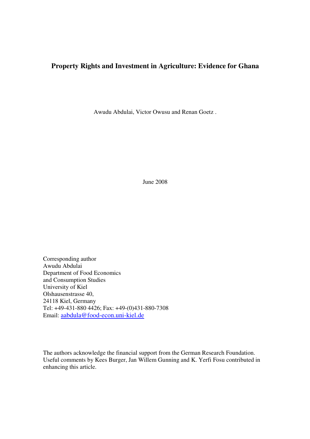# **Property Rights and Investment in Agriculture: Evidence for Ghana**

Awudu Abdulai, Victor Owusu and Renan Goetz .

June 2008

Corresponding author Awudu Abdulai Department of Food Economics and Consumption Studies University of Kiel Olshausenstrasse 40, 24118 Kiel, Germany Tel: +49-431-880 4426; Fax: +49-(0)431-880-7308 Email: aabdula@food-econ.uni-kiel.de

The authors acknowledge the financial support from the German Research Foundation. Useful comments by Kees Burger, Jan Willem Gunning and K. Yerfi Fosu contributed in enhancing this article.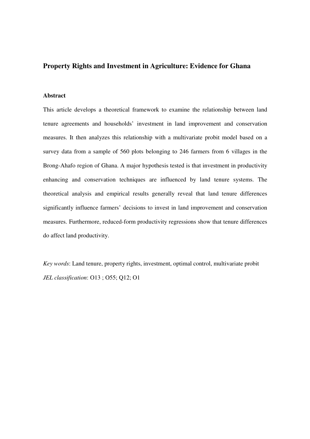# **Property Rights and Investment in Agriculture: Evidence for Ghana**

## **Abstract**

This article develops a theoretical framework to examine the relationship between land tenure agreements and households' investment in land improvement and conservation measures. It then analyzes this relationship with a multivariate probit model based on a survey data from a sample of 560 plots belonging to 246 farmers from 6 villages in the Brong-Ahafo region of Ghana. A major hypothesis tested is that investment in productivity enhancing and conservation techniques are influenced by land tenure systems. The theoretical analysis and empirical results generally reveal that land tenure differences significantly influence farmers' decisions to invest in land improvement and conservation measures. Furthermore, reduced-form productivity regressions show that tenure differences do affect land productivity.

*Key words*: Land tenure, property rights, investment, optimal control, multivariate probit *JEL classification*: O13 ; O55; Q12; O1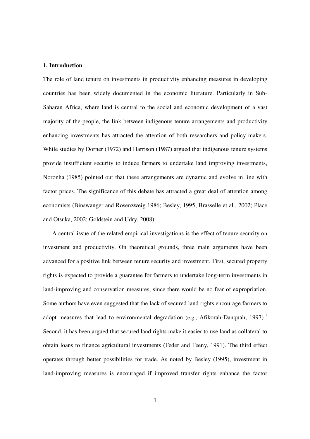#### **1. Introduction**

The role of land tenure on investments in productivity enhancing measures in developing countries has been widely documented in the economic literature. Particularly in Sub-Saharan Africa, where land is central to the social and economic development of a vast majority of the people, the link between indigenous tenure arrangements and productivity enhancing investments has attracted the attention of both researchers and policy makers. While studies by Dorner (1972) and Harrison (1987) argued that indigenous tenure systems provide insufficient security to induce farmers to undertake land improving investments, Noronha (1985) pointed out that these arrangements are dynamic and evolve in line with factor prices. The significance of this debate has attracted a great deal of attention among economists (Binswanger and Rosenzweig 1986; Besley, 1995; Brasselle et al., 2002; Place and Otsuka, 2002; Goldstein and Udry, 2008).

A central issue of the related empirical investigations is the effect of tenure security on investment and productivity. On theoretical grounds, three main arguments have been advanced for a positive link between tenure security and investment. First, secured property rights is expected to provide a guarantee for farmers to undertake long-term investments in land-improving and conservation measures, since there would be no fear of expropriation. Some authors have even suggested that the lack of secured land rights encourage farmers to adopt measures that lead to environmental degradation (e.g., Afikorah-Danquah, 1997).<sup>1</sup> Second, it has been argued that secured land rights make it easier to use land as collateral to obtain loans to finance agricultural investments (Feder and Feeny, 1991). The third effect operates through better possibilities for trade. As noted by Besley (1995), investment in land-improving measures is encouraged if improved transfer rights enhance the factor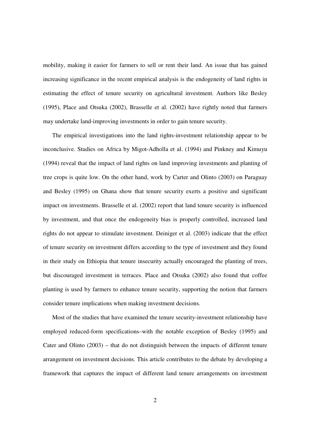mobility, making it easier for farmers to sell or rent their land. An issue that has gained increasing significance in the recent empirical analysis is the endogeneity of land rights in estimating the effect of tenure security on agricultural investment. Authors like Besley (1995), Place and Otsuka (2002), Brasselle et al. (2002) have rightly noted that farmers may undertake land-improving investments in order to gain tenure security.

The empirical investigations into the land rights-investment relationship appear to be inconclusive. Studies on Africa by Migot-Adholla et al. (1994) and Pinkney and Kimuyu (1994) reveal that the impact of land rights on land improving investments and planting of tree crops is quite low. On the other hand, work by Carter and Olinto (2003) on Paraguay and Besley (1995) on Ghana show that tenure security exerts a positive and significant impact on investments. Brasselle et al. (2002) report that land tenure security is influenced by investment, and that once the endogeneity bias is properly controlled, increased land rights do not appear to stimulate investment. Deiniger et al. (2003) indicate that the effect of tenure security on investment differs according to the type of investment and they found in their study on Ethiopia that tenure insecurity actually encouraged the planting of trees, but discouraged investment in terraces. Place and Otsuka (2002) also found that coffee planting is used by farmers to enhance tenure security, supporting the notion that farmers consider tenure implications when making investment decisions.

Most of the studies that have examined the tenure security-investment relationship have employed reduced-form specifications–with the notable exception of Besley (1995) and Cater and Olinto (2003) – that do not distinguish between the impacts of different tenure arrangement on investment decisions. This article contributes to the debate by developing a framework that captures the impact of different land tenure arrangements on investment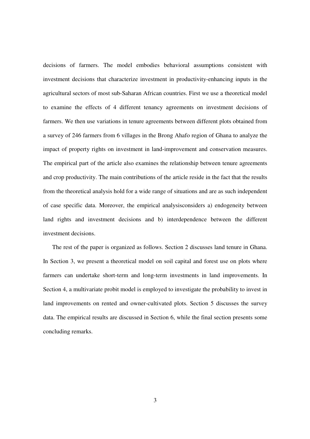decisions of farmers. The model embodies behavioral assumptions consistent with investment decisions that characterize investment in productivity-enhancing inputs in the agricultural sectors of most sub-Saharan African countries. First we use a theoretical model to examine the effects of 4 different tenancy agreements on investment decisions of farmers. We then use variations in tenure agreements between different plots obtained from a survey of 246 farmers from 6 villages in the Brong Ahafo region of Ghana to analyze the impact of property rights on investment in land-improvement and conservation measures. The empirical part of the article also examines the relationship between tenure agreements and crop productivity. The main contributions of the article reside in the fact that the results from the theoretical analysis hold for a wide range of situations and are as such independent of case specific data. Moreover, the empirical analysisconsiders a) endogeneity between land rights and investment decisions and b) interdependence between the different investment decisions.

The rest of the paper is organized as follows. Section 2 discusses land tenure in Ghana. In Section 3, we present a theoretical model on soil capital and forest use on plots where farmers can undertake short-term and long-term investments in land improvements. In Section 4, a multivariate probit model is employed to investigate the probability to invest in land improvements on rented and owner-cultivated plots. Section 5 discusses the survey data. The empirical results are discussed in Section 6, while the final section presents some concluding remarks.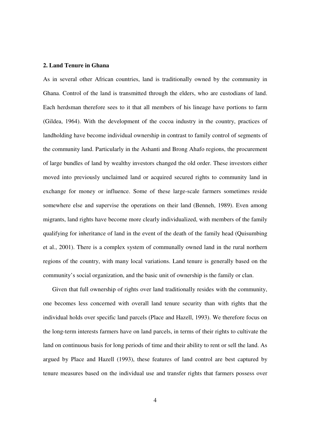#### **2. Land Tenure in Ghana**

As in several other African countries, land is traditionally owned by the community in Ghana. Control of the land is transmitted through the elders, who are custodians of land. Each herdsman therefore sees to it that all members of his lineage have portions to farm (Gildea, 1964). With the development of the cocoa industry in the country, practices of landholding have become individual ownership in contrast to family control of segments of the community land. Particularly in the Ashanti and Brong Ahafo regions, the procurement of large bundles of land by wealthy investors changed the old order. These investors either moved into previously unclaimed land or acquired secured rights to community land in exchange for money or influence. Some of these large-scale farmers sometimes reside somewhere else and supervise the operations on their land (Benneh, 1989). Even among migrants, land rights have become more clearly individualized, with members of the family qualifying for inheritance of land in the event of the death of the family head (Quisumbing et al., 2001). There is a complex system of communally owned land in the rural northern regions of the country, with many local variations. Land tenure is generally based on the community's social organization, and the basic unit of ownership is the family or clan.

Given that full ownership of rights over land traditionally resides with the community, one becomes less concerned with overall land tenure security than with rights that the individual holds over specific land parcels (Place and Hazell, 1993). We therefore focus on the long-term interests farmers have on land parcels, in terms of their rights to cultivate the land on continuous basis for long periods of time and their ability to rent or sell the land. As argued by Place and Hazell (1993), these features of land control are best captured by tenure measures based on the individual use and transfer rights that farmers possess over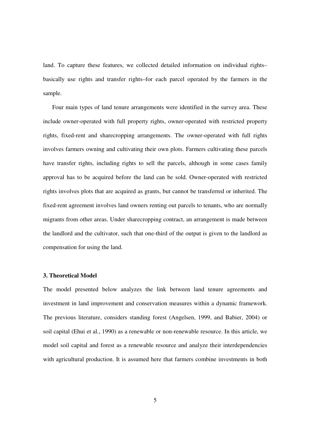land. To capture these features, we collected detailed information on individual rights– basically use rights and transfer rights–for each parcel operated by the farmers in the sample.

Four main types of land tenure arrangements were identified in the survey area. These include owner-operated with full property rights, owner-operated with restricted property rights, fixed-rent and sharecropping arrangements. The owner-operated with full rights involves farmers owning and cultivating their own plots. Farmers cultivating these parcels have transfer rights, including rights to sell the parcels, although in some cases family approval has to be acquired before the land can be sold. Owner-operated with restricted rights involves plots that are acquired as grants, but cannot be transferred or inherited. The fixed-rent agreement involves land owners renting out parcels to tenants, who are normally migrants from other areas. Under sharecropping contract, an arrangement is made between the landlord and the cultivator, such that one-third of the output is given to the landlord as compensation for using the land.

#### **3. Theoretical Model**

The model presented below analyzes the link between land tenure agreements and investment in land improvement and conservation measures within a dynamic framework. The previous literature, considers standing forest (Angelsen, 1999, and Babier, 2004) or soil capital (Ehui et al., 1990) as a renewable or non-renewable resource. In this article, we model soil capital and forest as a renewable resource and analyze their interdependencies with agricultural production. It is assumed here that farmers combine investments in both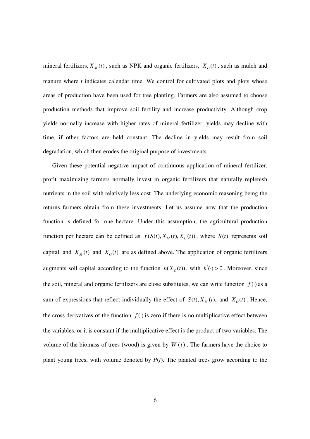mineral fertilizers,  $X_M(t)$ , such as NPK and organic fertilizers,  $X_O(t)$ , such as mulch and manure where *t* indicates calendar time. We control for cultivated plots and plots whose areas of production have been used for tree planting. Farmers are also assumed to choose production methods that improve soil fertility and increase productivity. Although crop yields normally increase with higher rates of mineral fertilizer, yields may decline with time, if other factors are held constant. The decline in yields may result from soil degradation, which then erodes the original purpose of investments.

Given these potential negative impact of continuous application of mineral fertilizer, profit maximizing farmers normally invest in organic fertilizers that naturally replenish nutrients in the soil with relatively less cost. The underlying economic reasoning being the returns farmers obtain from these investments. Let us assume now that the production function is defined for one hectare. Under this assumption, the agricultural production function per hectare can be defined as  $f(S(t), X_M(t), X_O(t))$ , where  $S(t)$  represents soil capital, and  $X_M(t)$  and  $X_O(t)$  are as defined above. The application of organic fertilizers augments soil capital according to the function  $h(X_0(t))$ , with  $h'(t) > 0$ . Moreover, since the soil, mineral and organic fertilizers are close substitutes, we can write function  $f(·)$  as a sum of expressions that reflect individually the effect of  $S(t)$ ,  $X_M(t)$ , and  $X_O(t)$ . Hence, the cross derivatives of the function  $f(·)$  is zero if there is no multiplicative effect between the variables, or it is constant if the multiplicative effect is the product of two variables. The volume of the biomass of trees (wood) is given by  $W(t)$ . The farmers have the choice to plant young trees, with volume denoted by *P*(*t*). The planted trees grow according to the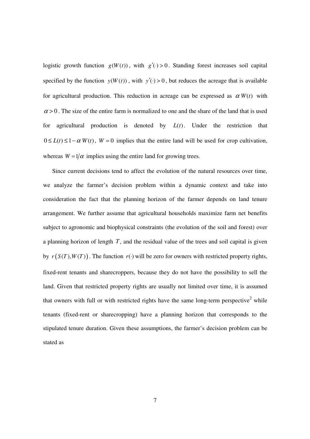logistic growth function  $g(W(t))$ , with  $g'(t) > 0$ . Standing forest increases soil capital specified by the function  $y(W(t))$ , with  $y'(t) > 0$ , but reduces the acreage that is available for agricultural production. This reduction in acreage can be expressed as  $\alpha W(t)$  with  $\alpha$  > 0. The size of the entire farm is normalized to one and the share of the land that is used for agricultural production is denoted by  $L(t)$ . Under the restriction that  $0 \le L(t) \le 1 - \alpha W(t)$ ,  $W = 0$  implies that the entire land will be used for crop cultivation, whereas  $W = 1/\alpha$  implies using the entire land for growing trees.

Since current decisions tend to affect the evolution of the natural resources over time, we analyze the farmer's decision problem within a dynamic context and take into consideration the fact that the planning horizon of the farmer depends on land tenure arrangement. We further assume that agricultural households maximize farm net benefits subject to agronomic and biophysical constraints (the evolution of the soil and forest) over a planning horizon of length *T*, and the residual value of the trees and soil capital is given by  $r(S(T), W(T))$ . The function  $r(\cdot)$  will be zero for owners with restricted property rights, fixed-rent tenants and sharecroppers, because they do not have the possibility to sell the land. Given that restricted property rights are usually not limited over time, it is assumed that owners with full or with restricted rights have the same long-term perspective<sup>2</sup> while tenants (fixed-rent or sharecropping) have a planning horizon that corresponds to the stipulated tenure duration. Given these assumptions, the farmer's decision problem can be stated as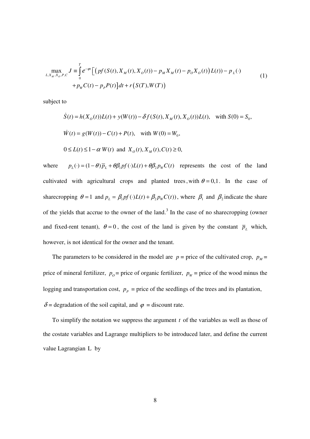$$
\max_{L, X_M, X_O, P, C} J \equiv \int_0^T e^{-\varphi t} \Big[ \Big( p f(S(t), X_M(t), X_O(t)) - p_M X_M(t) - p_O X_O(t) \Big) L(t) - p_L(\cdot) + p_W C(t) - p_P P(t) \Big] dt + r(S(T), W(T)) \tag{1}
$$

subject to

$$
\dot{S}(t) = h(X_0(t))L(t) + y(W(t)) - \delta f(S(t), X_M(t), X_0(t))L(t), \text{ with } S(0) = S_0,
$$
  

$$
\dot{W}(t) = g(W(t)) - C(t) + P(t), \text{ with } W(0) = W_0,
$$
  

$$
0 \le L(t) \le 1 - \alpha W(t) \text{ and } X_0(t), X_M(t), C(t) \ge 0,
$$

where  $p_L(\cdot) = (1 - \theta) \overline{p}_L + \theta \beta_1 pf (\cdot) L(t) + \theta \beta_2 p_W C(t)$  represents the cost of the land cultivated with agricultural crops and planted trees, with  $\theta = 0,1$ . In the case of sharecropping  $\theta = 1$  and  $p_L = \beta_1 pf(\cdot)L(t) + \beta_2 p_W C(t)$ , where  $\beta_1$  and  $\beta_2$  indicate the share of the yields that accrue to the owner of the land.<sup>3</sup> In the case of no sharecropping (owner and fixed-rent tenant),  $\theta = 0$ , the cost of the land is given by the constant  $\bar{p}_L$  which, however, is not identical for the owner and the tenant.

The parameters to be considered in the model are  $p =$  price of the cultivated crop,  $p<sub>M</sub> =$ price of mineral fertilizer,  $p_o$  = price of organic fertilizer,  $p_w$  = price of the wood minus the logging and transportation cost,  $p_p$  = price of the seedlings of the trees and its plantation,  $\delta$  = degradation of the soil capital, and  $\varphi$  = discount rate.

To simplify the notation we suppress the argument *t* of the variables as well as those of the costate variables and Lagrange multipliers to be introduced later, and define the current value Lagrangian L by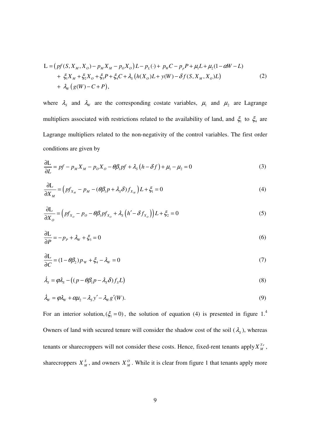$$
L = (pf(S, XM, XO) - pM XM - pO XO) L - pL(·) + pWC - pp P + \muLL + \mu2(1 - \alpha W - L)+ \xi1 XM + \xi2 XO + \xi3 P + \xi4C + \lambdaS (h(XO)L + y(W) - \delta f(S, XM, XO)L) + \lambdaW (g(W) - C + P),
$$
\n(2)

where  $\lambda_s$  and  $\lambda_w$  are the corresponding costate variables,  $\mu_1$  and  $\mu_2$  are Lagrange multipliers associated with restrictions related to the availability of land, and  $\xi_1$  to  $\xi_4$  are Lagrange multipliers related to the non-negativity of the control variables. The first order conditions are given by

$$
\frac{\partial L}{\partial L} = pf - p_M X_M - p_O X_O - \theta \beta_1 pf + \lambda_s (h - \delta f) + \mu_1 - \mu_2 = 0
$$
\n(3)

$$
\frac{\partial L}{\partial X_M} = \left( p f_{X_M} - p_M - (\theta \beta_1 p + \lambda_s \delta) f_{X_M} \right) L + \xi_1 = 0 \tag{4}
$$

$$
\frac{\partial L}{\partial X_o} = \left( p f_{X_o} - p_o - \theta \beta_1 p f_{X_o} + \lambda_s \left( h' - \delta f_{X_o} \right) \right) L + \xi_2 = 0 \tag{5}
$$

$$
\frac{\partial L}{\partial P} = -p_p + \lambda_w + \xi_3 = 0 \tag{6}
$$

$$
\frac{\partial L}{\partial C} = (1 - \theta \beta_2) p_w + \xi_4 - \lambda_w = 0 \tag{7}
$$

$$
\dot{\lambda}_s = \varphi \lambda_s - ((p - \theta \beta_1 p - \lambda_s \delta) f_s L) \tag{8}
$$

$$
\dot{\lambda}_w = \varphi \lambda_w + \alpha \mu_2 - \lambda_s y' - \lambda_w g'(W). \tag{9}
$$

For an interior solution,  $(\xi_1 = 0)$ , the solution of equation (4) is presented in figure 1.<sup>4</sup> Owners of land with secured tenure will consider the shadow cost of the soil  $(\lambda_s)$ , whereas tenants or sharecroppers will not consider these costs. Hence, fixed-rent tenants apply  $X_M^{Te}$ , sharecroppers  $X_M^S$ , and owners  $X_M^O$ . While it is clear from figure 1 that tenants apply more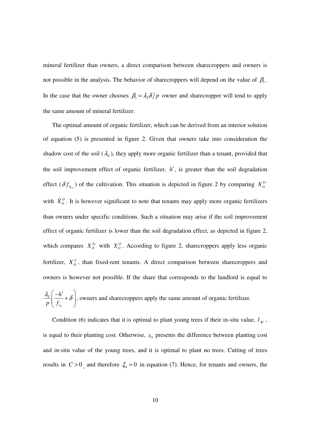mineral fertilizer than owners, a direct comparison between sharecroppers and owners is not possible in the analysis. The behavior of sharecroppers will depend on the value of  $\beta_1$ . In the case that the owner chooses  $\beta_1 = \lambda_s \delta / p$  owner and sharecropper will tend to apply the same amount of mineral fertilizer.

The optimal amount of organic fertilizer, which can be derived from an interior solution of equation (5) is presented in figure 2. Given that owners take into consideration the shadow cost of the soil  $(\lambda_s)$ , they apply more organic fertilizer than a tenant, provided that the soil improvement effect of organic fertilizer, *h*′, is greater than the soil degradation effect ( $\delta f_{X_O}$ ) of the cultivation. This situation is depicted in figure 2 by comparing  $X_O^{Te}$ with  $\tilde{X}_{0}^{\theta}$ . It is however significant to note that tenants may apply more organic fertilizers than owners under specific conditions. Such a situation may arise if the soil improvement effect of organic fertilizer is lower than the soil degradation effect, as depicted in figure 2, which compares  $X_0^{\text{Te}}$  with  $X_0^{\text{O}}$ . According to figure 2, sharecroppers apply less organic fertilizer,  $X_{\theta}^{S}$ , than fixed-rent tenants. A direct comparison between sharecroppers and owners is however not possible. If the share that corresponds to the landlord is equal to  $\bf{0}$ *S x h p f*  $\frac{\lambda_{\rm s}}{\sigma} \left( \frac{-h'}{h} + \delta \right)$  $\bigcup_{x_0}$   $\bigcup$ , owners and sharecroppers apply the same amount of organic fertilizer.

Condition (6) indicates that it is optimal to plant young trees if their in-situ value,  $l_w$ , is equal to their planting cost. Otherwise,  $x_3$  presents the difference between planting cost and in-situ value of the young trees, and it is optimal to plant no trees. Cutting of trees results in  $C > 0$ , and therefore  $\xi_4 = 0$  in equation (7). Hence, for tenants and owners, the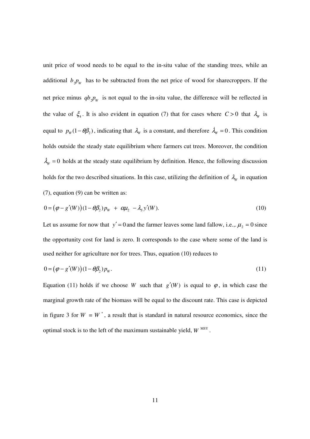unit price of wood needs to be equal to the in-situ value of the standing trees, while an additional  $b_2 p_w$  has to be subtracted from the net price of wood for sharecroppers. If the net price minus  $q_{b_2} p_w$  is not equal to the in-situ value, the difference will be reflected in the value of  $\xi_4$ . It is also evident in equation (7) that for cases where  $C > 0$  that  $\lambda_w$  is equal to  $p_w(1-\theta\beta_2)$ , indicating that  $\lambda_w$  is a constant, and therefore  $\lambda_w = 0$ . This condition holds outside the steady state equilibrium where farmers cut trees. Moreover, the condition  $\lambda_w = 0$  holds at the steady state equilibrium by definition. Hence, the following discussion holds for the two described situations. In this case, utilizing the definition of  $\lambda_w$  in equation (7), equation (9) can be written as:

$$
0 = (\varphi - g'(W))(1 - \theta \beta_2) p_W + \alpha \mu_2 - \lambda_s y'(W). \tag{10}
$$

Let us assume for now that  $y' = 0$  and the farmer leaves some land fallow, i.e.,  $\mu_2 = 0$  since the opportunity cost for land is zero. It corresponds to the case where some of the land is used neither for agriculture nor for trees. Thus, equation (10) reduces to

$$
0 = \left(\varphi - g'(W)\right)(1 - \theta \beta_2) p_W. \tag{11}
$$

Equation (11) holds if we choose *W* such that  $g'(W)$  is equal to  $\varphi$ , in which case the marginal growth rate of the biomass will be equal to the discount rate. This case is depicted in figure 3 for  $W = W^*$ , a result that is standard in natural resource economics, since the optimal stock is to the left of the maximum sustainable yield,  $W^{MSY}$ .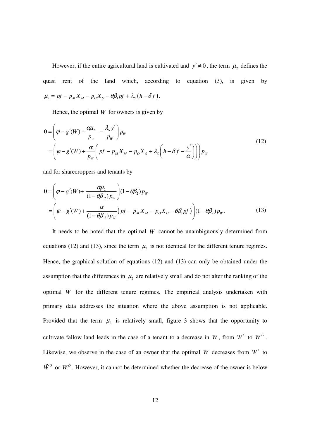However, if the entire agricultural land is cultivated and  $y' \neq 0$ , the term  $\mu_2$  defines the quasi rent of the land which, according to equation (3), is given by  $\mu_2 = pf - p_M X_M - p_O X_O - \theta \beta_1 pf + \lambda_s (h - \delta f).$ 

Hence, the optimal *W* for owners is given by

$$
0 = \left(\varphi - g'(W) + \frac{\alpha \mu_2}{p_w} - \frac{\lambda_s y'}{p_W}\right) p_W
$$
  
=  $\left(\varphi - g'(W) + \frac{\alpha}{p_w} \left(p f - p_M X_M - p_O X_O + \lambda_s \left(h - \delta f - \frac{y'}{\alpha}\right)\right)\right) p_W$  (12)

and for sharecroppers and tenants by

$$
0 = \left(\varphi - g'(W) + \frac{\alpha \mu_2}{(1 - \theta \beta_2) p_W}\right) (1 - \theta \beta_2) p_W
$$
  
=  $\left(\varphi - g'(W) + \frac{\alpha}{(1 - \theta \beta_2) p_W} (pf - p_M X_M - p_O X_O - \theta \beta_1 pf)\right) (1 - \theta \beta_2) p_W.$  (13)

It needs to be noted that the optimal *W* cannot be unambiguously determined from equations (12) and (13), since the term  $\mu_2$  is not identical for the different tenure regimes. Hence, the graphical solution of equations (12) and (13) can only be obtained under the assumption that the differences in  $\mu_2$  are relatively small and do not alter the ranking of the optimal *W* for the different tenure regimes. The empirical analysis undertaken with primary data addresses the situation where the above assumption is not applicable. Provided that the term  $\mu_2$  is relatively small, figure 3 shows that the opportunity to cultivate fallow land leads in the case of a tenant to a decrease in *W*, from  $W^*$  to  $W^{T_e}$ . Likewise, we observe in the case of an owner that the optimal  $W$  decreases from  $W^*$  to  $\tilde{W}^{\circ}$  or  $W^{\circ}$ . However, it cannot be determined whether the decrease of the owner is below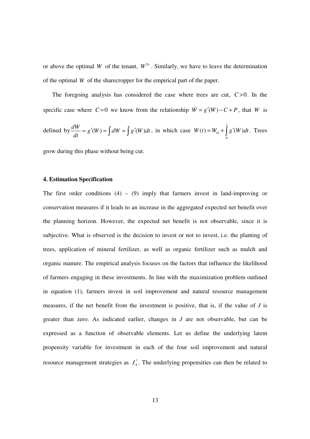or above the optimal *W* of the tenant,  $W^{Te}$ . Similarly, we have to leave the determination of the optimal *W* of the sharecropper for the empirical part of the paper.

The foregoing analysis has considered the case where trees are cut,  $C > 0$ . In the specific case where  $C=0$  we know from the relationship  $\dot{W} = g'(W) - C + P$ , that *W* is

defined by 
$$
\frac{dW}{dt} = g'(W) = \int dW = \int g'(W)dt
$$
, in which case  $W(t) = W_0 + \int_0^t g'(W)dt$ . Trees

grow during this phase without being cut.

#### **4. Estimation Specification**

The first order conditions  $(4) - (9)$  imply that farmers invest in land-improving or conservation measures if it leads to an increase in the aggregated expected net benefit over the planning horizon. However, the expected net benefit is not observable, since it is subjective. What is observed is the decision to invest or not to invest, i.e. the planting of trees, application of mineral fertilizer, as well as organic fertilizer such as mulch and organic manure. The empirical analysis focuses on the factors that influence the likelihood of farmers engaging in these investments. In line with the maximization problem outlined in equation (1), farmers invest in soil improvement and natural resource management measures, if the net benefit from the investment is positive, that is, if the value of *J* is greater than zero. As indicated earlier, changes in *J* are not observable, but can be expressed as a function of observable elements. Let us define the underlying latent propensity variable for investment in each of the four soil improvement and natural resource management strategies as  $J_h^*$ . The underlying propensities can then be related to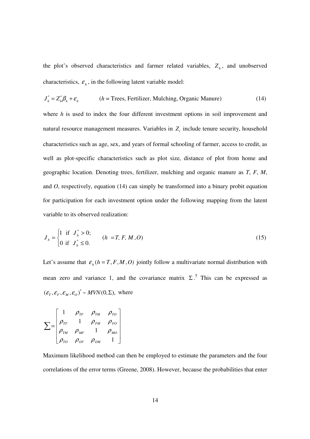the plot's observed characteristics and farmer related variables,  $Z_h$ , and unobserved characteristics,  $\varepsilon_h$ , in the following latent variable model:

$$
J_{h}^{*} = Z_{h}'\beta_{h} + \varepsilon_{h}
$$
 (*h* = Trees, Fertilizer, Mulching, Organic Manuel) (14)  
where *h* is used to index the four different investment options in soil improvement and  
natural resource management measures. Variables in *Z<sub>i</sub>* include tenure security, household  
characteristics such as age, sex, and years of formal schooling of farmer, access to credit, as  
well as plot-specific characteristics such as plot size, distance of plot from home and  
geographic location. Denoting trees, fertilizer, mulching and organic manure as *T*, *F*, *M*,  
and *O*, respectively, equation (14) can simply be transformed into a binary probit equation  
for participation for each investment option under the following mapping from the latent  
variable to its observed realization:

$$
J_h = \begin{cases} 1 & \text{if } J_h^* > 0; \\ 0 & \text{if } J_h^* \le 0. \end{cases} \qquad (h = T, F, M, O)
$$
 (15)

Let's assume that  $\varepsilon_h$  ( $h = T, F, M, O$ ) jointly follow a multivariate normal distribution with mean zero and variance 1, and the covariance matrix  $\Sigma$ .<sup>5</sup> This can be expressed as  $({\mathcal E}_T, {\mathcal E}_F, {\mathcal E}_M, {\mathcal E}_O)' \sim MVN(0, \Sigma)$ , where

$$
\sum = \begin{bmatrix} 1 & \rho_{TF} & \rho_{TM} & \rho_{TO} \\ \rho_{TF} & 1 & \rho_{FM} & \rho_{FO} \\ \rho_{TM} & \rho_{MF} & 1 & \rho_{MO} \\ \rho_{TO} & \rho_{OF} & \rho_{OM} & 1 \end{bmatrix}
$$

Maximum likelihood method can then be employed to estimate the parameters and the four correlations of the error terms (Greene, 2008). However, because the probabilities that enter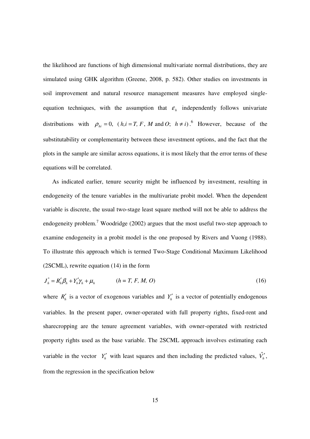the likelihood are functions of high dimensional multivariate normal distributions, they are simulated using GHK algorithm (Greene, 2008, p. 582). Other studies on investments in soil improvement and natural resource management measures have employed singleequation techniques, with the assumption that  $\varepsilon$ <sub>h</sub> independently follows univariate distributions with  $\rho_{hi} = 0$ ,  $(h,i = T, F, M \text{ and } O; h \neq i)$ . However, because of the substitutability or complementarity between these investment options, and the fact that the plots in the sample are similar across equations, it is most likely that the error terms of these equations will be correlated.

As indicated earlier, tenure security might be influenced by investment, resulting in endogeneity of the tenure variables in the multivariate probit model. When the dependent variable is discrete, the usual two-stage least square method will not be able to address the endogeneity problem.<sup>7</sup> Woodridge  $(2002)$  argues that the most useful two-step approach to examine endogeneity in a probit model is the one proposed by Rivers and Vuong (1988). To illustrate this approach which is termed Two-Stage Conditional Maximum Likelihood (2SCML), rewrite equation (14) in the form

$$
J_h^* = R_h' \beta_h + Y_h' \gamma_h + \mu_h \qquad (h = T, F, M, O) \qquad (16)
$$

where  $R'_h$  is a vector of exogenous variables and  $Y'_h$  is a vector of potentially endogenous variables. In the present paper, owner-operated with full property rights, fixed-rent and sharecropping are the tenure agreement variables, with owner-operated with restricted property rights used as the base variable. The 2SCML approach involves estimating each variable in the vector  $Y'_h$  with least squares and then including the predicted values,  $\hat{V}'_h$ , from the regression in the specification below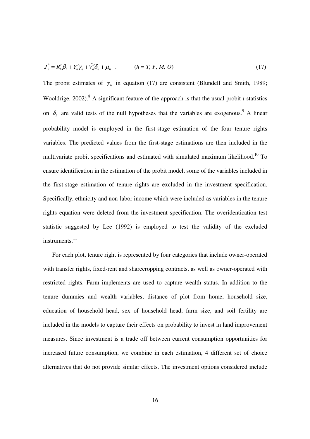$$
J_h^* = R_h' \beta_h + Y_h' \gamma_h + \hat{V}_h' \delta_h + \mu_h \quad . \qquad (h = T, F, M, O) \tag{17}
$$

The probit estimates of  $\gamma_h$  in equation (17) are consistent (Blundell and Smith, 1989; Wooldrige, 2002).<sup>8</sup> A significant feature of the approach is that the usual probit *t*-statistics on  $\delta_h$  are valid tests of the null hypotheses that the variables are exogenous.<sup>9</sup> A linear probability model is employed in the first-stage estimation of the four tenure rights variables. The predicted values from the first-stage estimations are then included in the multivariate probit specifications and estimated with simulated maximum likelihood.<sup>10</sup> To ensure identification in the estimation of the probit model, some of the variables included in the first-stage estimation of tenure rights are excluded in the investment specification. Specifically, ethnicity and non-labor income which were included as variables in the tenure rights equation were deleted from the investment specification. The overidentication test statistic suggested by Lee (1992) is employed to test the validity of the excluded instruments.<sup>11</sup>

For each plot, tenure right is represented by four categories that include owner-operated with transfer rights, fixed-rent and sharecropping contracts, as well as owner-operated with restricted rights. Farm implements are used to capture wealth status. In addition to the tenure dummies and wealth variables, distance of plot from home, household size, education of household head, sex of household head, farm size, and soil fertility are included in the models to capture their effects on probability to invest in land improvement measures. Since investment is a trade off between current consumption opportunities for increased future consumption, we combine in each estimation, 4 different set of choice alternatives that do not provide similar effects. The investment options considered include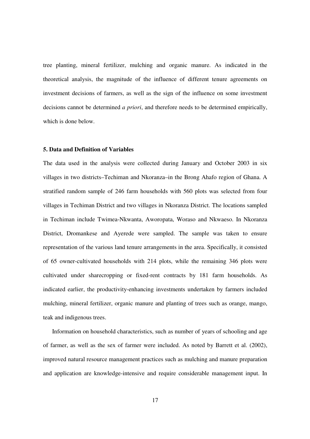tree planting, mineral fertilizer, mulching and organic manure. As indicated in the theoretical analysis, the magnitude of the influence of different tenure agreements on investment decisions of farmers, as well as the sign of the influence on some investment decisions cannot be determined *a priori*, and therefore needs to be determined empirically, which is done below.

#### **5. Data and Definition of Variables**

The data used in the analysis were collected during January and October 2003 in six villages in two districts–Techiman and Nkoranza–in the Brong Ahafo region of Ghana. A stratified random sample of 246 farm households with 560 plots was selected from four villages in Techiman District and two villages in Nkoranza District. The locations sampled in Techiman include Twimea-Nkwanta, Aworopata, Woraso and Nkwaeso. In Nkoranza District, Dromankese and Ayerede were sampled. The sample was taken to ensure representation of the various land tenure arrangements in the area. Specifically, it consisted of 65 owner-cultivated households with 214 plots, while the remaining 346 plots were cultivated under sharecropping or fixed-rent contracts by 181 farm households. As indicated earlier, the productivity-enhancing investments undertaken by farmers included mulching, mineral fertilizer, organic manure and planting of trees such as orange, mango, teak and indigenous trees.

Information on household characteristics, such as number of years of schooling and age of farmer, as well as the sex of farmer were included. As noted by Barrett et al. (2002), improved natural resource management practices such as mulching and manure preparation and application are knowledge-intensive and require considerable management input. In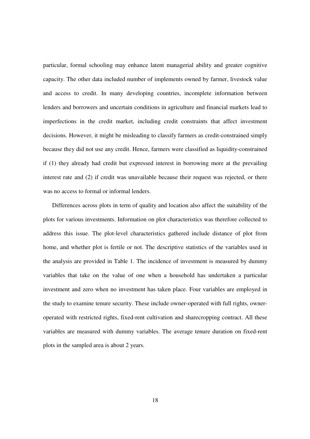particular, formal schooling may enhance latent managerial ability and greater cognitive capacity. The other data included number of implements owned by farmer, livestock value and access to credit. In many developing countries, incomplete information between lenders and borrowers and uncertain conditions in agriculture and financial markets lead to imperfections in the credit market, including credit constraints that affect investment decisions. However, it might be misleading to classify farmers as credit-constrained simply because they did not use any credit. Hence, farmers were classified as liquidity-constrained if (1) they already had credit but expressed interest in borrowing more at the prevailing interest rate and (2) if credit was unavailable because their request was rejected, or there was no access to formal or informal lenders.

Differences across plots in term of quality and location also affect the suitability of the plots for various investments. Information on plot characteristics was therefore collected to address this issue. The plot-level characteristics gathered include distance of plot from home, and whether plot is fertile or not. The descriptive statistics of the variables used in the analysis are provided in Table 1. The incidence of investment is measured by dummy variables that take on the value of one when a household has undertaken a particular investment and zero when no investment has taken place. Four variables are employed in the study to examine tenure security. These include owner-operated with full rights, owneroperated with restricted rights, fixed-rent cultivation and sharecropping contract. All these variables are measured with dummy variables. The average tenure duration on fixed-rent plots in the sampled area is about 2 years.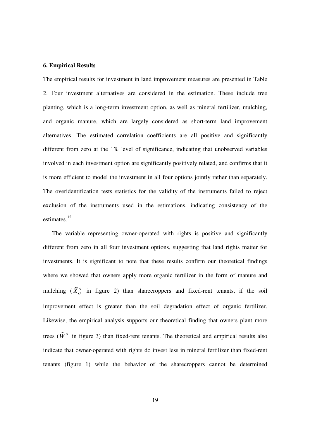#### **6. Empirical Results**

The empirical results for investment in land improvement measures are presented in Table 2. Four investment alternatives are considered in the estimation. These include tree planting, which is a long-term investment option, as well as mineral fertilizer, mulching, and organic manure, which are largely considered as short-term land improvement alternatives. The estimated correlation coefficients are all positive and significantly different from zero at the 1% level of significance, indicating that unobserved variables involved in each investment option are significantly positively related, and confirms that it is more efficient to model the investment in all four options jointly rather than separately. The overidentification tests statistics for the validity of the instruments failed to reject exclusion of the instruments used in the estimations, indicating consistency of the estimates.<sup>12</sup>

The variable representing owner-operated with rights is positive and significantly different from zero in all four investment options, suggesting that land rights matter for investments. It is significant to note that these results confirm our theoretical findings where we showed that owners apply more organic fertilizer in the form of manure and mulching  $(\tilde{X}_{0}^{O})$  in figure 2) than sharecroppers and fixed-rent tenants, if the soil improvement effect is greater than the soil degradation effect of organic fertilizer. Likewise, the empirical analysis supports our theoretical finding that owners plant more trees ( $\tilde{W}^{\circ}$  in figure 3) than fixed-rent tenants. The theoretical and empirical results also indicate that owner-operated with rights do invest less in mineral fertilizer than fixed-rent tenants (figure 1) while the behavior of the sharecroppers cannot be determined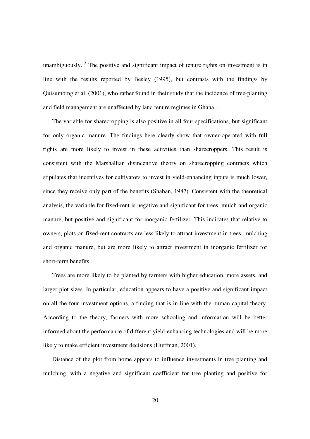unambiguously.<sup>13</sup> The positive and significant impact of tenure rights on investment is in line with the results reported by Besley (1995), but contrasts with the findings by Quisumbing et al. (2001), who rather found in their study that the incidence of tree-planting and field management are unaffected by land tenure regimes in Ghana. .

The variable for sharecropping is also positive in all four specifications, but significant for only organic manure. The findings here clearly show that owner-operated with full rights are more likely to invest in these activities than sharecroppers. This result is consistent with the Marshallian disincentive theory on sharecropping contracts which stipulates that incentives for cultivators to invest in yield-enhancing inputs is much lower, since they receive only part of the benefits (Shaban, 1987). Consistent with the theoretical analysis, the variable for fixed-rent is negative and significant for trees, mulch and organic manure, but positive and significant for inorganic fertilizer. This indicates that relative to owners, plots on fixed-rent contracts are less likely to attract investment in trees, mulching and organic manure, but are more likely to attract investment in inorganic fertilizer for short-term benefits.

Trees are more likely to be planted by farmers with higher education, more assets, and larger plot sizes. In particular, education appears to have a positive and significant impact on all the four investment options, a finding that is in line with the human capital theory. According to the theory, farmers with more schooling and information will be better informed about the performance of different yield-enhancing technologies and will be more likely to make efficient investment decisions (Huffman, 2001).

Distance of the plot from home appears to influence investments in tree planting and mulching, with a negative and significant coefficient for tree planting and positive for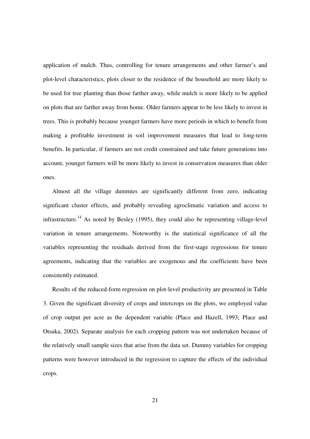application of mulch. Thus, controlling for tenure arrangements and other farmer's and plot-level characteristics, plots closer to the residence of the household are more likely to be used for tree planting than those farther away, while mulch is more likely to be applied on plots that are farther away from home. Older farmers appear to be less likely to invest in trees. This is probably because younger farmers have more periods in which to benefit from making a profitable investment in soil improvement measures that lead to long-term benefits. In particular, if farmers are not credit constrained and take future generations into account, younger farmers will be more likely to invest in conservation measures than older ones.

Almost all the village dummies are significantly different from zero, indicating significant cluster effects, and probably revealing agroclimatic variation and access to infrastructure.<sup>14</sup> As noted by Besley (1995), they could also be representing village-level variation in tenure arrangements. Noteworthy is the statistical significance of all the variables representing the residuals derived from the first-stage regressions for tenure agreements, indicating that the variables are exogenous and the coefficients have been consistently estimated.

Results of the reduced-form regression on plot-level productivity are presented in Table 3. Given the significant diversity of crops and intercrops on the plots, we employed value of crop output per acre as the dependent variable (Place and Hazell, 1993; Place and Otsuka, 2002). Separate analysis for each cropping pattern was not undertaken because of the relatively small sample sizes that arise from the data set. Dummy variables for cropping patterns were however introduced in the regression to capture the effects of the individual crops.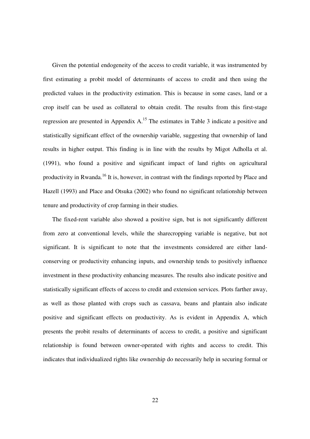Given the potential endogeneity of the access to credit variable, it was instrumented by first estimating a probit model of determinants of access to credit and then using the predicted values in the productivity estimation. This is because in some cases, land or a crop itself can be used as collateral to obtain credit. The results from this first-stage regression are presented in Appendix A.<sup>15</sup> The estimates in Table 3 indicate a positive and statistically significant effect of the ownership variable, suggesting that ownership of land results in higher output. This finding is in line with the results by Migot Adholla et al. (1991), who found a positive and significant impact of land rights on agricultural productivity in Rwanda.<sup>16</sup> It is, however, in contrast with the findings reported by Place and Hazell (1993) and Place and Otsuka (2002) who found no significant relationship between tenure and productivity of crop farming in their studies.

 The fixed-rent variable also showed a positive sign, but is not significantly different from zero at conventional levels, while the sharecropping variable is negative, but not significant. It is significant to note that the investments considered are either landconserving or productivity enhancing inputs, and ownership tends to positively influence investment in these productivity enhancing measures. The results also indicate positive and statistically significant effects of access to credit and extension services. Plots farther away, as well as those planted with crops such as cassava, beans and plantain also indicate positive and significant effects on productivity. As is evident in Appendix A, which presents the probit results of determinants of access to credit, a positive and significant relationship is found between owner-operated with rights and access to credit. This indicates that individualized rights like ownership do necessarily help in securing formal or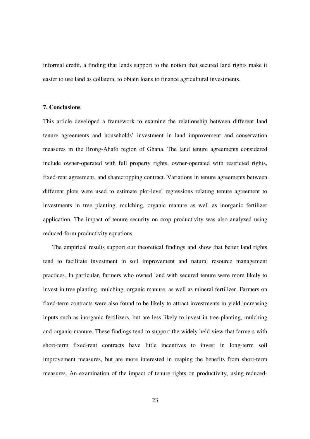informal credit, a finding that lends support to the notion that secured land rights make it easier to use land as collateral to obtain loans to finance agricultural investments.

## **7. Conclusions**

This article developed a framework to examine the relationship between different land tenure agreements and households' investment in land improvement and conservation measures in the Brong-Ahafo region of Ghana. The land tenure agreements considered include owner-operated with full property rights, owner-operated with restricted rights, fixed-rent agreement, and sharecropping contract. Variations in tenure agreements between different plots were used to estimate plot-level regressions relating tenure agreement to investments in tree planting, mulching, organic manure as well as inorganic fertilizer application. The impact of tenure security on crop productivity was also analyzed using reduced-form productivity equations.

 The empirical results support our theoretical findings and show that better land rights tend to facilitate investment in soil improvement and natural resource management practices. In particular, farmers who owned land with secured tenure were more likely to invest in tree planting, mulching, organic manure, as well as mineral fertilizer. Farmers on fixed-term contracts were also found to be likely to attract investments in yield increasing inputs such as inorganic fertilizers, but are less likely to invest in tree planting, mulching and organic manure. These findings tend to support the widely held view that farmers with short-term fixed-rent contracts have little incentives to invest in long-term soil improvement measures, but are more interested in reaping the benefits from short-term measures. An examination of the impact of tenure rights on productivity, using reduced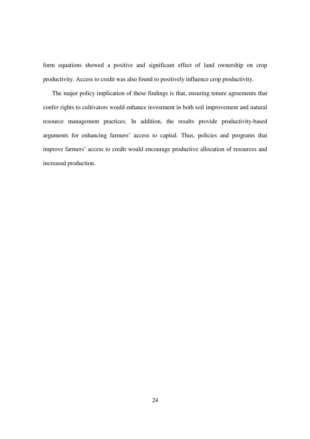form equations showed a positive and significant effect of land ownership on crop productivity. Access to credit was also found to positively influence crop productivity.

 The major policy implication of these findings is that, ensuring tenure agreements that confer rights to cultivators would enhance investment in both soil improvement and natural resource management practices. In addition, the results provide productivity-based arguments for enhancing farmers' access to capital. Thus, policies and programs that improve farmers' access to credit would encourage productive allocation of resources and increased production.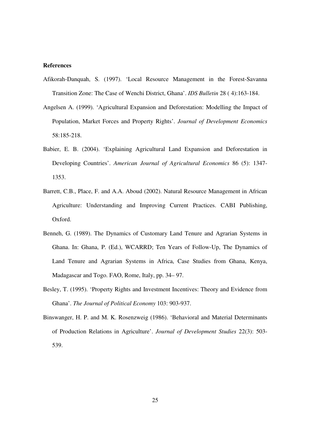#### **References**

- Afikorah-Danquah, S. (1997). 'Local Resource Management in the Forest-Savanna Transition Zone: The Case of Wenchi District, Ghana'. *IDS Bulletin* 28 ( 4):163-184.
- Angelsen A. (1999). 'Agricultural Expansion and Deforestation: Modelling the Impact of Population, Market Forces and Property Rights'. *Journal of Development Economics* 58:185-218.
- Babier, E. B. (2004). 'Explaining Agricultural Land Expansion and Deforestation in Developing Countries'. *American Journal of Agricultural Economics* 86 (5): 1347- 1353.
- Barrett, C.B., Place, F. and A.A. Aboud (2002). Natural Resource Management in African Agriculture: Understanding and Improving Current Practices. CABI Publishing, Oxford.
- Benneh, G. (1989). The Dynamics of Customary Land Tenure and Agrarian Systems in Ghana. In: Ghana, P. (Ed.), WCARRD; Ten Years of Follow-Up, The Dynamics of Land Tenure and Agrarian Systems in Africa, Case Studies from Ghana, Kenya, Madagascar and Togo. FAO, Rome, Italy, pp. 34– 97.
- Besley, T. (1995). 'Property Rights and Investment Incentives: Theory and Evidence from Ghana'. *The Journal of Political Economy* 103: 903-937.
- Binswanger, H. P. and M. K. Rosenzweig (1986). 'Behavioral and Material Determinants of Production Relations in Agriculture'. *Journal of Development Studies* 22(3): 503- 539.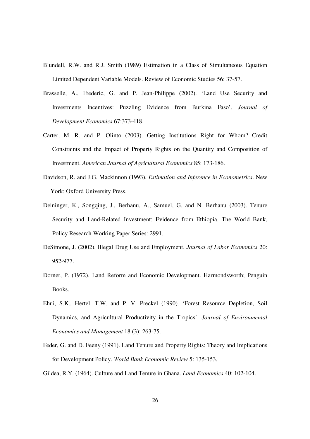- Blundell, R.W. and R.J. Smith (1989) Estimation in a Class of Simultaneous Equation Limited Dependent Variable Models. Review of Economic Studies 56: 37-57.
- Brasselle, A., Frederic, G. and P. Jean-Philippe (2002). 'Land Use Security and Investments Incentives: Puzzling Evidence from Burkina Faso'. *Journal of Development Economics* 67:373-418.
- Carter, M. R. and P. Olinto (2003). Getting Institutions Right for Whom? Credit Constraints and the Impact of Property Rights on the Quantity and Composition of Investment. *American Journal of Agricultural Economics* 85: 173-186.
- Davidson, R. and J.G. Mackinnon (1993). *Estimation and Inference in Econometrics*. New York: Oxford University Press.
- Deininger, K., Songqing, J., Berhanu, A., Samuel, G. and N. Berhanu (2003). Tenure Security and Land-Related Investment: Evidence from Ethiopia. The World Bank, Policy Research Working Paper Series: 2991.
- DeSimone, J. (2002). Illegal Drug Use and Employment. *Journal of Labor Economics* 20: 952-977.
- Dorner, P. (1972). Land Reform and Economic Development. Harmondsworth; Penguin Books.
- Ehui, S.K., Hertel, T.W. and P. V. Preckel (1990). 'Forest Resource Depletion, Soil Dynamics, and Agricultural Productivity in the Tropics'. *Journal of Environmental Economics and Management* 18 (3): 263-75.
- Feder, G. and D. Feeny (1991). Land Tenure and Property Rights: Theory and Implications for Development Policy. *World Bank Economic Review* 5: 135-153.

Gildea, R.Y. (1964). Culture and Land Tenure in Ghana. *Land Economics* 40: 102-104.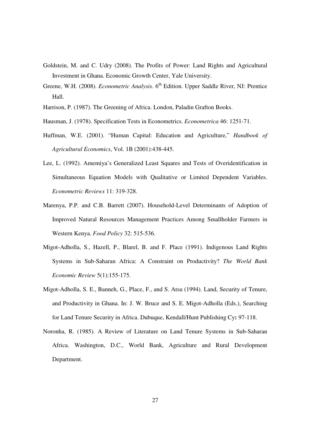- Goldstein, M. and C. Udry (2008). The Profits of Power: Land Rights and Agricultural Investment in Ghana. Economic Growth Center, Yale University.
- Greene, W.H. (2008). *Econometric Analysis*. 6<sup>th</sup> Edition. Upper Saddle River, NJ: Prentice Hall.
- Harrison, P. (1987). The Greening of Africa. London, Paladin Grafton Books.
- Hausman, J. (1978). Specification Tests in Econometrics. *Econometrica* 46: 1251-71.
- Huffman, W.E. (2001). "Human Capital: Education and Agriculture," *Handbook of Agricultural Economics*, Vol. 1B (2001):438-445.
- Lee, L. (1992). Amemiya's Generalized Least Squares and Tests of Overidentification in Simultaneous Equation Models with Qualitative or Limited Dependent Variables. *Econometric Reviews* 11: 319-328.
- Marenya, P.P. and C.B. Barrett (2007). Household-Level Determinants of Adoption of Improved Natural Resources Management Practices Among Smallholder Farmers in Western Kenya. *Food Policy* 32: 515-536.
- Migot-Adholla, S., Hazell, P., Blarel, B. and F. Place (1991). Indigenous Land Rights Systems in Sub-Saharan Africa: A Constraint on Productivity? *The World Bank Economic Review* 5(1):155-175.
- Migot-Adholla, S. E., Banneh, G., Place, F., and S. Atsu (1994). Land, Security of Tenure, and Productivity in Ghana. In: J. W. Bruce and S. E. Migot-Adholla (Eds.), Searching for Land Tenure Security in Africa. Dubuque, Kendall/Hunt Publishing Cy**:** 97-118.
- Noronha, R. (1985). A Review of Literature on Land Tenure Systems in Sub-Saharan Africa. Washington, D.C., World Bank, Agriculture and Rural Development Department.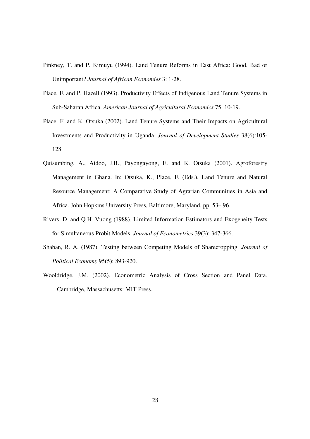- Pinkney, T. and P. Kimuyu (1994). Land Tenure Reforms in East Africa: Good, Bad or Unimportant? *Journal of African Economies* 3: 1-28.
- Place, F. and P. Hazell (1993). Productivity Effects of Indigenous Land Tenure Systems in Sub-Saharan Africa. *American Journal of Agricultural Economics* 75: 10-19.
- Place, F. and K. Otsuka (2002). Land Tenure Systems and Their Impacts on Agricultural Investments and Productivity in Uganda. *Journal of Development Studies* 38(6):105- 128.
- Quisumbing, A., Aidoo, J.B., Payongayong, E. and K. Otsuka (2001). Agroforestry Management in Ghana. In: Otsuka, K., Place, F. (Eds.), Land Tenure and Natural Resource Management: A Comparative Study of Agrarian Communities in Asia and Africa. John Hopkins University Press, Baltimore, Maryland, pp. 53– 96.
- Rivers, D. and Q.H. Vuong (1988). Limited Information Estimators and Exogeneity Tests for Simultaneous Probit Models. *Journal of Econometrics* 39(3): 347-366.
- Shaban, R. A. (1987). Testing between Competing Models of Sharecropping. *Journal of Political Economy* 95(5): 893-920.
- Wooldridge, J.M. (2002). Econometric Analysis of Cross Section and Panel Data. Cambridge, Massachusetts: MIT Press.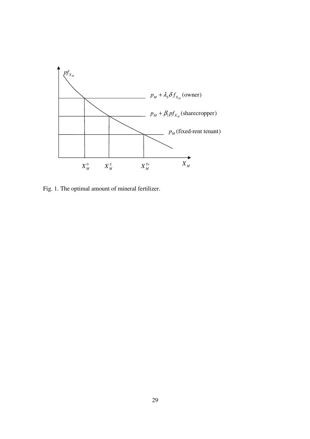

Fig. 1. The optimal amount of mineral fertilizer.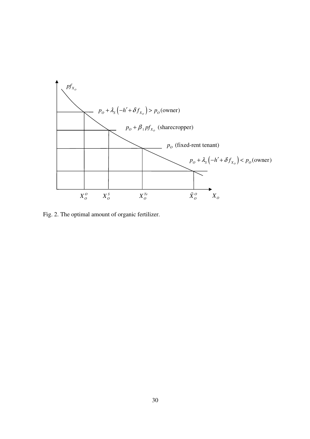

Fig. 2. The optimal amount of organic fertilizer.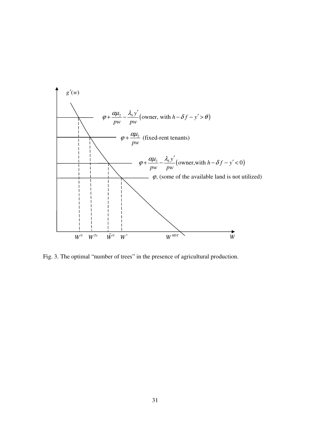

Fig. 3. The optimal "number of trees" in the presence of agricultural production.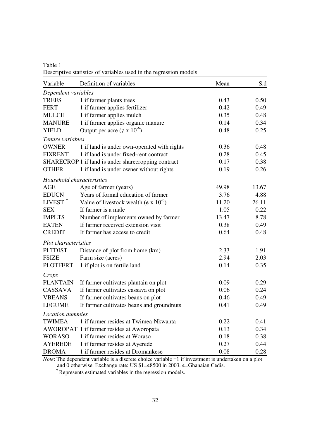| Table 1                                                           |
|-------------------------------------------------------------------|
| Descriptive statistics of variables used in the regression models |

| Variable                  | Definition of variables                                 | Mean  | S.d   |  |  |
|---------------------------|---------------------------------------------------------|-------|-------|--|--|
|                           | Dependent variables                                     |       |       |  |  |
| <b>TREES</b>              | 1 if farmer plants trees                                | 0.43  | 0.50  |  |  |
| <b>FERT</b>               | 1 if farmer applies fertilizer                          | 0.42  | 0.49  |  |  |
| <b>MULCH</b>              | 1 if farmer applies mulch                               | 0.35  | 0.48  |  |  |
| <b>MANURE</b>             | 1 if farmer applies organic manure                      | 0.14  | 0.34  |  |  |
| <b>YIELD</b>              | Output per acre ( $\phi$ x 10 <sup>-6</sup> )           | 0.48  | 0.25  |  |  |
| Tenure variables          |                                                         |       |       |  |  |
| <b>OWNER</b>              | 1 if land is under own-operated with rights             | 0.36  | 0.48  |  |  |
| <b>FIXRENT</b>            | 1 if land is under fixed-rent contract                  | 0.28  | 0.45  |  |  |
|                           | SHARECROP 1 if land is under sharecropping contract     | 0.17  | 0.38  |  |  |
| <b>OTHER</b>              | 1 if land is under owner without rights                 | 0.19  | 0.26  |  |  |
| Household characteristics |                                                         |       |       |  |  |
| AGE                       | Age of farmer (years)                                   | 49.98 | 13.67 |  |  |
| <b>EDUCN</b>              | Years of formal education of farmer                     | 3.76  | 4.88  |  |  |
| LIVEST $^{\dagger}$       | Value of livestock wealth ( $\phi$ x 10 <sup>-6</sup> ) | 11.20 | 26.11 |  |  |
| <b>SEX</b>                | If farmer is a male                                     | 1.05  | 0.22  |  |  |
| <b>IMPLTS</b>             | Number of implements owned by farmer                    | 13.47 | 8.78  |  |  |
| <b>EXTEN</b>              | If farmer received extension visit                      | 0.38  | 0.49  |  |  |
| <b>CREDIT</b>             | If farmer has access to credit                          | 0.64  | 0.48  |  |  |
| Plot characteristics      |                                                         |       |       |  |  |
| <b>PLTDIST</b>            | Distance of plot from home (km)                         | 2.33  | 1.91  |  |  |
| <b>FSIZE</b>              | Farm size (acres)                                       | 2.94  | 2.03  |  |  |
| <b>PLOTFERT</b>           | 1 if plot is on fertile land                            | 0.14  | 0.35  |  |  |
| Crops                     |                                                         |       |       |  |  |
| <b>PLANTAIN</b>           | If farmer cultivates plantain on plot                   | 0.09  | 0.29  |  |  |
| CASSAVA                   | If farmer cultivates cassava on plot                    | 0.06  | 0.24  |  |  |
| <b>VBEANS</b>             | If farmer cultivates beans on plot                      | 0.46  | 0.49  |  |  |
| <b>LEGUME</b>             | If farmer cultivates beans and groundnuts               | 0.41  | 0.49  |  |  |
| Location dummies          |                                                         |       |       |  |  |
| <b>TWIMEA</b>             | 1 if farmer resides at Twimea-Nkwanta                   | 0.22  | 0.41  |  |  |
|                           | AWOROPAT 1 if farmer resides at Aworopata               | 0.13  | 0.34  |  |  |
| <b>WORASO</b>             | 1 if farmer resides at Woraso                           | 0.18  | 0.38  |  |  |
| <b>AYEREDE</b>            | 1 if farmer resides at Ayerede                          | 0.27  | 0.44  |  |  |
| <b>DROMA</b>              | 1 if farmer resides at Dromankese                       | 0.08  | 0.28  |  |  |

*Note*: The dependent variable is a discrete choice variable =1 if investment is undertaken on a plot and 0 otherwise. Exchange rate: US \$1=¢8500 in 2003. ¢=Ghanaian Cedis.

<sup>†</sup>Represents estimated variables in the regression models.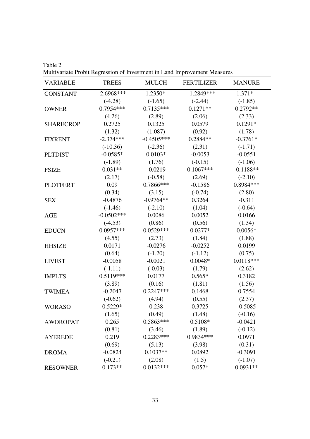| <b>VARIABLE</b>  | <b>TREES</b> | <b>MULCH</b> | <b>FERTILIZER</b> | <b>MANURE</b> |
|------------------|--------------|--------------|-------------------|---------------|
| <b>CONSTANT</b>  | $-2.6968***$ | $-1.2350*$   | $-1.2849***$      | $-1.371*$     |
|                  | $(-4.28)$    | $(-1.65)$    | $(-2.44)$         | $(-1.85)$     |
| <b>OWNER</b>     | $0.7954***$  | $0.7135***$  | $0.1271**$        | $0.2792**$    |
|                  | (4.26)       | (2.89)       | (2.06)            | (2.33)        |
| <b>SHARECROP</b> | 0.2725       | 0.1325       | 0.0579            | $0.1291*$     |
|                  | (1.32)       | (1.087)      | (0.92)            | (1.78)        |
| <b>FIXRENT</b>   | $-2.374***$  | $-0.4505***$ | $0.2884**$        | $-0.3761*$    |
|                  | $(-10.36)$   | $(-2.36)$    | (2.31)            | $(-1.71)$     |
| <b>PLTDIST</b>   | $-0.0585*$   | $0.0103*$    | $-0.0053$         | $-0.0551$     |
|                  | $(-1.89)$    | (1.76)       | $(-0.15)$         | $(-1.06)$     |
| <b>FSIZE</b>     | $0.031**$    | $-0.0219$    | $0.1067***$       | $-0.1188**$   |
|                  | (2.17)       | $(-0.58)$    | (2.69)            | $(-2.10)$     |
| <b>PLOTFERT</b>  | 0.09         | 0.7866***    | $-0.1586$         | 0.8984 ***    |
|                  | (0.34)       | (3.15)       | $(-0.74)$         | (2.80)        |
| <b>SEX</b>       | $-0.4876$    | $-0.9764**$  | 0.3264            | $-0.311$      |
|                  | $(-1.46)$    | $(-2.10)$    | (1.04)            | $(-0.64)$     |
| <b>AGE</b>       | $-0.0502***$ | 0.0086       | 0.0052            | 0.0166        |
|                  | $(-4.53)$    | (0.86)       | (0.56)            | (1.34)        |
| <b>EDUCN</b>     | $0.0957***$  | $0.0529***$  | $0.0277*$         | $0.0056*$     |
|                  | (4.55)       | (2.73)       | (1.84)            | (1.88)        |
| <b>HHSIZE</b>    | 0.0171       | $-0.0276$    | $-0.0252$         | 0.0199        |
|                  | (0.64)       | $(-1.20)$    | $(-1.12)$         | (0.75)        |
| <b>LIVEST</b>    | $-0.0058$    | $-0.0021$    | $0.0048*$         | $0.0118***$   |
|                  | $(-1.11)$    | $(-0.03)$    | (1.79)            | (2.62)        |
| <b>IMPLTS</b>    | $0.5119***$  | 0.0177       | $0.565*$          | 0.3182        |
|                  | (3.89)       | (0.16)       | (1.81)            | (1.56)        |
| <b>TWIMEA</b>    | $-0.2047$    | $0.2247***$  | 0.1468            | 0.7554        |
|                  | $(-0.62)$    | (4.94)       | (0.55)            | (2.37)        |
| <b>WORASO</b>    | $0.5229*$    | 0.238        | 0.3725            | $-0.5085$     |
|                  | (1.65)       | (0.49)       | (1.48)            | $(-0.16)$     |
| <b>AWOROPAT</b>  | 0.265        | $0.5863***$  | $0.5108*$         | $-0.0421$     |
|                  | (0.81)       | (3.46)       | (1.89)            | $(-0.12)$     |
| <b>AYEREDE</b>   | 0.219        | $0.2283***$  | 0.9834 ***        | 0.0971        |
|                  | (0.69)       | (5.13)       | (3.98)            | (0.31)        |
| <b>DROMA</b>     | $-0.0824$    | $0.1037**$   | 0.0892            | $-0.3091$     |
|                  | $(-0.21)$    | (2.08)       | (1.5)             | $(-1.07)$     |
| <b>RESOWNER</b>  | $0.173**$    | $0.0132***$  | $0.057*$          | $0.0931**$    |

Table 2 Multivariate Probit Regression of Investment in Land Improvement Measures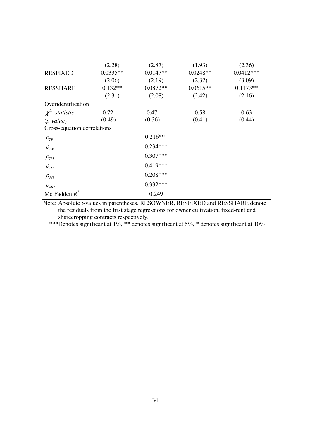|                                   | (2.28)     | (2.87)     | (1.93)     | (2.36)      |
|-----------------------------------|------------|------------|------------|-------------|
| <b>RESFIXED</b>                   | $0.0335**$ | $0.0147**$ | $0.0248**$ | $0.0412***$ |
|                                   | (2.06)     | (2.19)     | (2.32)     | (3.09)      |
| <b>RESSHARE</b>                   | $0.132**$  | $0.0872**$ | $0.0615**$ | $0.1173**$  |
|                                   | (2.31)     | (2.08)     | (2.42)     | (2.16)      |
| Overidentification                |            |            |            |             |
| $\chi^2$ -statistic               | 0.72       | 0.47       | 0.58       | 0.63        |
| $(p-value)$                       | (0.49)     | (0.36)     | (0.41)     | (0.44)      |
| Cross-equation correlations       |            |            |            |             |
| $\rho_{\scriptscriptstyle TF}$    |            | $0.216**$  |            |             |
| $\rho_{\scriptscriptstyle FM}^{}$ |            | $0.234***$ |            |             |
| $\rho_{_{TM}}$                    |            | $0.307***$ |            |             |
| $\rho_{_{TO}}$                    |            | $0.419***$ |            |             |
| $\rho_{\scriptscriptstyle FO}$    |            | $0.208***$ |            |             |
| $\rho_{_{MO}}$                    |            | $0.332***$ |            |             |
| Mc Fadden $R^2$                   |            | 0.249      |            |             |

Note: Absolute *t*-values in parentheses. RESOWNER, RESFIXED and RESSHARE denote the residuals from the first stage regressions for owner cultivation, fixed-rent and sharecropping contracts respectively.

\*\*\*Denotes significant at 1%, \*\* denotes significant at 5%, \* denotes significant at 10%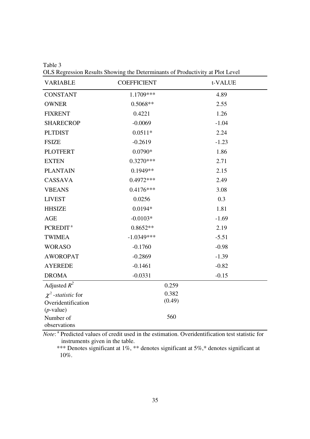| Table 3                                                                       |  |
|-------------------------------------------------------------------------------|--|
| OLS Regression Results Showing the Determinants of Productivity at Plot Level |  |

| <b>VARIABLE</b>           | <b>COEFFICIENT</b> | t-VALUE |
|---------------------------|--------------------|---------|
| <b>CONSTANT</b>           | 1.1709***          | 4.89    |
| <b>OWNER</b>              | $0.5068**$         | 2.55    |
| <b>FIXRENT</b>            | 0.4221             | 1.26    |
| <b>SHARECROP</b>          | $-0.0069$          | $-1.04$ |
| <b>PLTDIST</b>            | $0.0511*$          | 2.24    |
| <b>FSIZE</b>              | $-0.2619$          | $-1.23$ |
| <b>PLOTFERT</b>           | $0.0790*$          | 1.86    |
| <b>EXTEN</b>              | $0.3270***$        | 2.71    |
| <b>PLANTAIN</b>           | $0.1949**$         | 2.15    |
| <b>CASSAVA</b>            | $0.4972***$        | 2.49    |
| <b>VBEANS</b>             | $0.4176***$        | 3.08    |
| <b>LIVEST</b>             | 0.0256             | 0.3     |
| <b>HHSIZE</b>             | $0.0194*$          | 1.81    |
| <b>AGE</b>                | $-0.0103*$         | $-1.69$ |
| PCREDIT <sup>a</sup>      | $0.8652**$         | 2.19    |
| <b>TWIMEA</b>             | $-1.0349***$       | $-5.51$ |
| <b>WORASO</b>             | $-0.1760$          | $-0.98$ |
| <b>AWOROPAT</b>           | $-0.2869$          | $-1.39$ |
| <b>AYEREDE</b>            | $-0.1461$          | $-0.82$ |
| <b>DROMA</b>              | $-0.0331$          | $-0.15$ |
| Adjusted $R^2$            | 0.259              |         |
| $\chi^2$ -statistic for   | 0.382              |         |
| Overidentification        | (0.49)             |         |
| $(p$ -value)<br>Number of | 560                |         |
| observations              |                    |         |

Note:<sup>a</sup> Predicted values of credit used in the estimation. Overidentification test statistic for instruments given in the table.

 \*\*\* Denotes significant at 1%, \*\* denotes significant at 5%,\* denotes significant at 10%.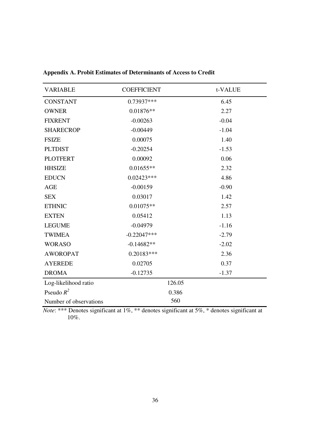| <b>VARIABLE</b>        | <b>COEFFICIENT</b> | t-VALUE |
|------------------------|--------------------|---------|
| <b>CONSTANT</b>        | 0.73937***         | 6.45    |
| <b>OWNER</b>           | $0.01876**$        | 2.27    |
| <b>FIXRENT</b>         | $-0.00263$         | $-0.04$ |
| <b>SHARECROP</b>       | $-0.00449$         | $-1.04$ |
| <b>FSIZE</b>           | 0.00075            | 1.40    |
| <b>PLTDIST</b>         | $-0.20254$         | $-1.53$ |
| <b>PLOTFERT</b>        | 0.00092            | 0.06    |
| <b>HHSIZE</b>          | $0.01655**$        | 2.32    |
| <b>EDUCN</b>           | $0.02423***$       | 4.86    |
| <b>AGE</b>             | $-0.00159$         | $-0.90$ |
| <b>SEX</b>             | 0.03017            | 1.42    |
| <b>ETHNIC</b>          | $0.01075**$        | 2.57    |
| <b>EXTEN</b>           | 0.05412            | 1.13    |
| <b>LEGUME</b>          | $-0.04979$         | $-1.16$ |
| <b>TWIMEA</b>          | $-0.22047***$      | $-2.79$ |
| <b>WORASO</b>          | $-0.14682**$       | $-2.02$ |
| <b>AWOROPAT</b>        | $0.20183***$       | 2.36    |
| <b>AYEREDE</b>         | 0.02705            | 0.37    |
| <b>DROMA</b>           | $-0.12735$         | $-1.37$ |
| Log-likelihood ratio   | 126.05             |         |
| Pseudo $R^2$           | 0.386              |         |
| Number of observations | 560                |         |

**Appendix A. Probit Estimates of Determinants of Access to Credit** 

*Note*: \*\*\* Denotes significant at 1%, \*\* denotes significant at 5%, \* denotes significant at 10%.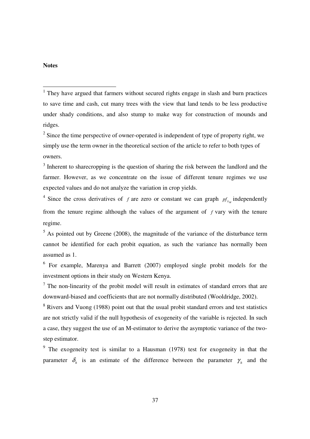### **Notes**

l

<sup>1</sup> They have argued that farmers without secured rights engage in slash and burn practices to save time and cash, cut many trees with the view that land tends to be less productive under shady conditions, and also stump to make way for construction of mounds and ridges.

 $2^2$  Since the time perspective of owner-operated is independent of type of property right, we simply use the term owner in the theoretical section of the article to refer to both types of owners.

 $3$  Inherent to sharecropping is the question of sharing the risk between the landlord and the farmer. However, as we concentrate on the issue of different tenure regimes we use expected values and do not analyze the variation in crop yields.

<sup>4</sup> Since the cross derivatives of *f* are zero or constant we can graph  $pf_{x_M}$  independently from the tenure regime although the values of the argument of *f* vary with the tenure regime.

 $<sup>5</sup>$  As pointed out by Greene (2008), the magnitude of the variance of the disturbance term</sup> cannot be identified for each probit equation, as such the variance has normally been assumed as 1.

<sup>6</sup> For example, Marenya and Barrett (2007) employed single probit models for the investment options in their study on Western Kenya.

 $<sup>7</sup>$  The non-linearity of the probit model will result in estimates of standard errors that are</sup> downward-biased and coefficients that are not normally distributed (Wooldridge, 2002).

<sup>8</sup> Rivers and Vuong (1988) point out that the usual probit standard errors and test statistics are not strictly valid if the null hypothesis of exogeneity of the variable is rejected. In such a case, they suggest the use of an M-estimator to derive the asymptotic variance of the twostep estimator.

<sup>9</sup> The exogeneity test is similar to a Hausman (1978) test for exogeneity in that the parameter  $\delta_h$  is an estimate of the difference between the parameter  $\gamma_h$  and the

37